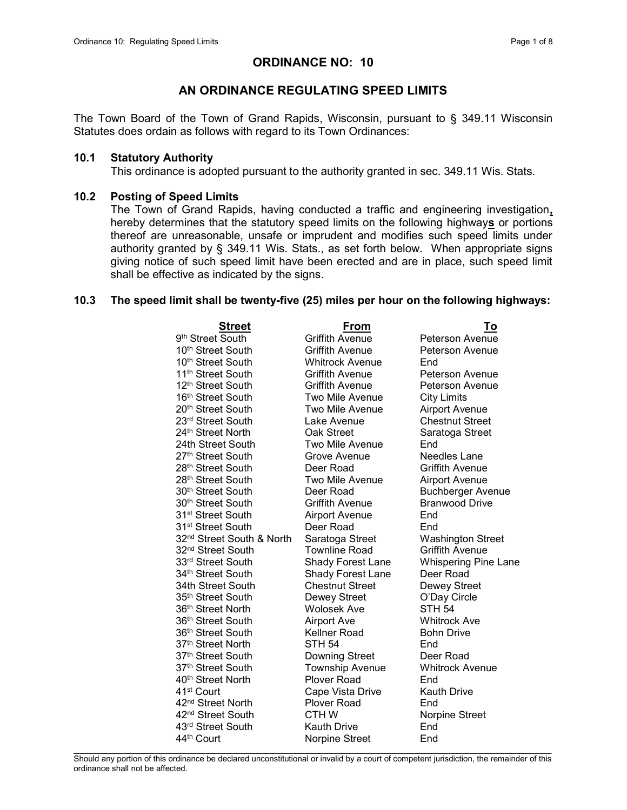# ORDINANCE NO: 10

## AN ORDINANCE REGULATING SPEED LIMITS

The Town Board of the Town of Grand Rapids, Wisconsin, pursuant to § 349.11 Wisconsin Statutes does ordain as follows with regard to its Town Ordinances:

### 10.1 Statutory Authority

This ordinance is adopted pursuant to the authority granted in sec. 349.11 Wis. Stats.

### 10.2 Posting of Speed Limits

The Town of Grand Rapids, having conducted a traffic and engineering investigation, hereby determines that the statutory speed limits on the following highways or portions thereof are unreasonable, unsafe or imprudent and modifies such speed limits under authority granted by § 349.11 Wis. Stats., as set forth below. When appropriate signs giving notice of such speed limit have been erected and are in place, such speed limit shall be effective as indicated by the signs.

### 10.3 The speed limit shall be twenty-five (25) miles per hour on the following highways:

| <b>Street</b>                         | <u>From</u>              | <u>To</u>                   |
|---------------------------------------|--------------------------|-----------------------------|
| 9 <sup>th</sup> Street South          | <b>Griffith Avenue</b>   | Peterson Avenue             |
| 10 <sup>th</sup> Street South         | <b>Griffith Avenue</b>   | Peterson Avenue             |
| 10 <sup>th</sup> Street South         | <b>Whitrock Avenue</b>   | End                         |
| 11 <sup>th</sup> Street South         | <b>Griffith Avenue</b>   | Peterson Avenue             |
| 12 <sup>th</sup> Street South         | <b>Griffith Avenue</b>   | <b>Peterson Avenue</b>      |
| 16 <sup>th</sup> Street South         | Two Mile Avenue          | <b>City Limits</b>          |
| 20 <sup>th</sup> Street South         | Two Mile Avenue          | Airport Avenue              |
| 23 <sup>rd</sup> Street South         | Lake Avenue              | <b>Chestnut Street</b>      |
| 24th Street North                     | Oak Street               | Saratoga Street             |
| 24th Street South                     | <b>Two Mile Avenue</b>   | End                         |
| 27 <sup>th</sup> Street South         | Grove Avenue             | Needles Lane                |
| 28 <sup>th</sup> Street South         | Deer Road                | <b>Griffith Avenue</b>      |
| 28 <sup>th</sup> Street South         | <b>Two Mile Avenue</b>   | <b>Airport Avenue</b>       |
| 30 <sup>th</sup> Street South         | Deer Road                | <b>Buchberger Avenue</b>    |
| 30th Street South                     | <b>Griffith Avenue</b>   | <b>Branwood Drive</b>       |
| 31 <sup>st</sup> Street South         | <b>Airport Avenue</b>    | End                         |
| 31st Street South                     | Deer Road                | End.                        |
| 32 <sup>nd</sup> Street South & North | Saratoga Street          | <b>Washington Street</b>    |
| 32 <sup>nd</sup> Street South         | <b>Townline Road</b>     | <b>Griffith Avenue</b>      |
| 33rd Street South                     | <b>Shady Forest Lane</b> | <b>Whispering Pine Lane</b> |
| 34 <sup>th</sup> Street South         | <b>Shady Forest Lane</b> | Deer Road                   |
| 34th Street South                     | <b>Chestnut Street</b>   | Dewey Street                |
| 35 <sup>th</sup> Street South         | Dewey Street             | O'Day Circle                |
| 36 <sup>th</sup> Street North         | <b>Wolosek Ave</b>       | <b>STH 54</b>               |
| 36 <sup>th</sup> Street South         | <b>Airport Ave</b>       | <b>Whitrock Ave</b>         |
| 36 <sup>th</sup> Street South         | Kellner Road             | <b>Bohn Drive</b>           |
| 37 <sup>th</sup> Street North         | <b>STH 54</b>            | End                         |
| 37 <sup>th</sup> Street South         | <b>Downing Street</b>    | Deer Road                   |
| 37th Street South                     | <b>Township Avenue</b>   | <b>Whitrock Avenue</b>      |
| 40th Street North                     | <b>Plover Road</b>       | End                         |
| 41 <sup>st</sup> Court                | Cape Vista Drive         | <b>Kauth Drive</b>          |
| 42 <sup>nd</sup> Street North         | <b>Plover Road</b>       | End                         |
| 42 <sup>nd</sup> Street South         | <b>CTHW</b>              | Norpine Street              |
| 43rd Street South                     | <b>Kauth Drive</b>       | End                         |
| 44th Court                            | Norpine Street           | End                         |
|                                       |                          |                             |

Should any portion of this ordinance be declared unconstitutional or invalid by a court of competent jurisdiction, the remainder of this ordinance shall not be affected.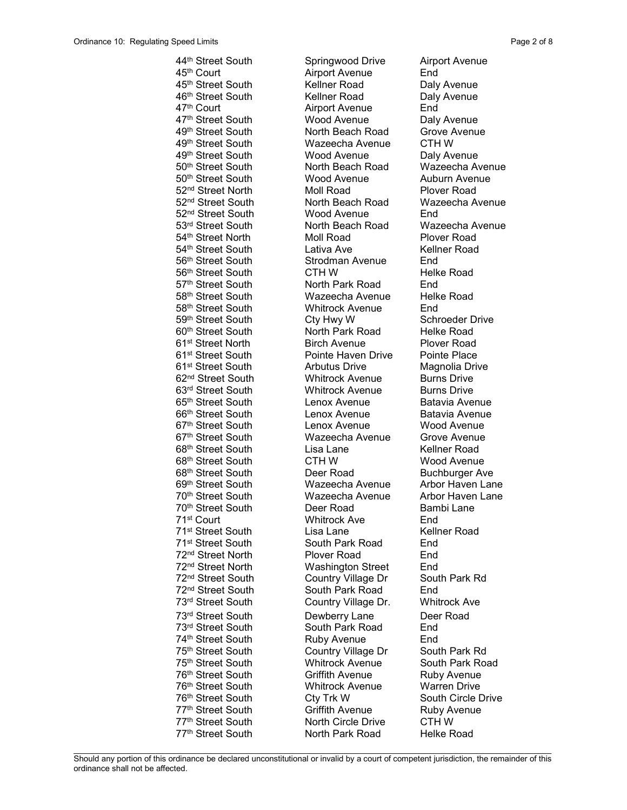77<sup>th</sup> Street South North Park Road Helke Road

44<sup>th</sup> Street South Springwood Drive Airport Avenue 45<sup>th</sup> Court **Airport Avenue** End 45<sup>th</sup> Street South Kellner Road Daly Avenue 46<sup>th</sup> Street South **Kellner Road** Daly Avenue 47<sup>th</sup> Court **Airport Avenue** End 47<sup>th</sup> Street South Wood Avenue Daly Avenue 49<sup>th</sup> Street South **North Beach Road** Grove Avenue 49th Street South Wazeecha Avenue CTH W 49<sup>th</sup> Street South Wood Avenue Daly Avenue 50<sup>th</sup> Street South **North Beach Road** Wazeecha Avenue 50<sup>th</sup> Street South **Wood Avenue** Auburn Avenue 52<sup>nd</sup> Street North Moll Road Plover Road 52nd Street South North Beach Road Wazeecha Avenue 52<sup>nd</sup> Street South Wood Avenue End 53<sup>rd</sup> Street South **North Beach Road** Wazeecha Avenue 54th Street North Moll Road Plover Road 54<sup>th</sup> Street South **Lativa Ave** Kellner Road 56<sup>th</sup> Street South Strodman Avenue End 56<sup>th</sup> Street South **CTH W** Helke Road 57<sup>th</sup> Street South **North Park Road** End<br>58<sup>th</sup> Street South **Nazeecha Avenue** Helk Wazeecha Avenue Helke Road 58th Street South Whitrock Avenue End 59<sup>th</sup> Street South Cty Hwy W Schroeder Drive 60<sup>th</sup> Street South North Park Road Helke Road 61st Street North Birch Avenue Plover Road 61st Street South Pointe Haven Drive Pointe Place 61st Street South Arbutus Drive Magnolia Drive 62<sup>nd</sup> Street South **Whitrock Avenue** Burns Drive 63<sup>rd</sup> Street South **Whitrock Avenue** Burns Drive 65th Street South Lenox Avenue Batavia Avenue 66<sup>th</sup> Street South **Lenox Avenue** Batavia Avenue 67th Street South Lenox Avenue Wood Avenue 67<sup>th</sup> Street South **Wazeecha Avenue** Grove Avenue 68<sup>th</sup> Street South **Lisa Lane** Kellner Road 68<sup>th</sup> Street South **CTH W** Wood Avenue 68<sup>th</sup> Street South **Deer Road** Buchburger Ave 69<sup>th</sup> Street South Wazeecha Avenue Arbor Haven Lane 70<sup>th</sup> Street South Wazeecha Avenue Arbor Haven Lane 70<sup>th</sup> Street South **Deer Road** Bambi Lane 71st Court Whitrock Ave End 71<sup>st</sup> Street South **Lisa Lane** Kellner Road 71st Street South South Park Road End 72<sup>nd</sup> Street North Plover Road End 72<sup>nd</sup> Street North Washington Street End 72<sup>nd</sup> Street South Country Village Dr South Park Rd 72<sup>nd</sup> Street South South Park Road End 73<sup>rd</sup> Street South **Country Village Dr.** Whitrock Ave 73<sup>rd</sup> Street South Dewberry Lane Deer Road 73<sup>rd</sup> Street South South Park Road End 74<sup>th</sup> Street South **Ruby Avenue** End 75<sup>th</sup> Street South **Country Village Dr** South Park Rd 75<sup>th</sup> Street South **Whitrock Avenue** South Park Road 76<sup>th</sup> Street South **Griffith Avenue** Ruby Avenue 76<sup>th</sup> Street South **Whitrock Avenue** Warren Drive 76<sup>th</sup> Street South Cty Trk W South Circle Drive 77<sup>th</sup> Street South **Griffith Avenue** Ruby Avenue 77<sup>th</sup> Street South North Circle Drive CTH W

 $\mathcal{L}_\text{max}$ Should any portion of this ordinance be declared unconstitutional or invalid by a court of competent jurisdiction, the remainder of this ordinance shall not be affected.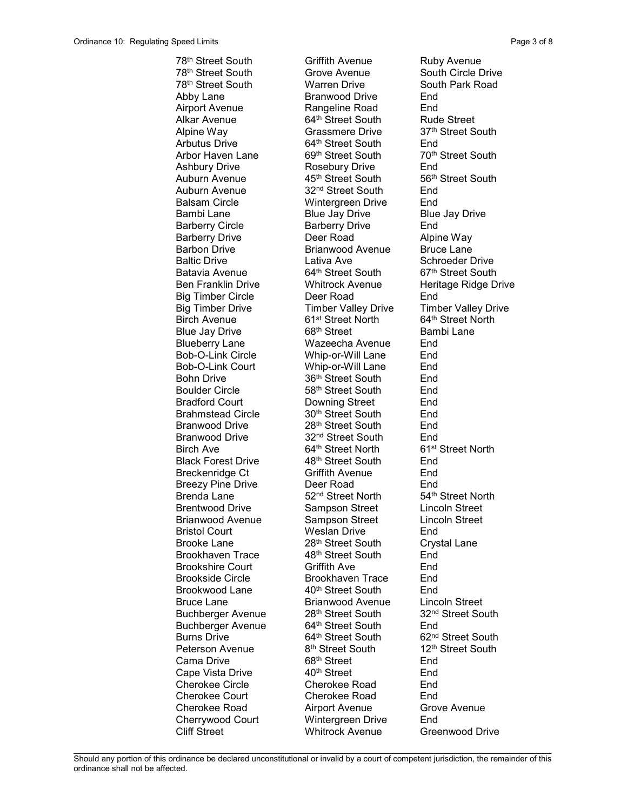78<sup>th</sup> Street South **Griffith Avenue** Ruby Avenue 78<sup>th</sup> Street South Grove Avenue South Circle Drive<br>
78<sup>th</sup> Street South South Warren Drive South Park Road 78<sup>th</sup> Street South Warren Drive Abby Lane **Branwood Drive** End Airport Avenue **Rangeline Road** End Alkar Avenue **64<sup>th</sup> Street South** Rude Street Alpine Way **Grassmere Drive** 37<sup>th</sup> Street South Arbutus Drive 64<sup>th</sup> Street South End Arbor Haven Lane 69th Street South 70th Street South Ashbury Drive Rosebury Drive End Auburn Avenue **45th Street South** 56<sup>th</sup> Street South Auburn Avenue 32<sup>nd</sup> Street South End Balsam Circle Wintergreen Drive End Bambi Lane **Blue Jay Drive** Blue Jay Drive Barberry Circle **Barberry Drive** End Barberry Drive **Deer Road** Alpine Way Barbon Drive **Brianwood Avenue** Bruce Lane Baltic Drive **Lativa Ave** Schroeder Drive Batavia Avenue 64<sup>th</sup> Street South 67<sup>th</sup> Street South Big Timber Circle Deer Road End Big Timber Drive Timber Valley Drive Timber Valley Drive Birch Avenue 61<sup>st</sup> Street North 64<sup>th</sup> Street North Blue Jay Drive 68<sup>th</sup> Street Bambi Lane Blueberry Lane Wazeecha Avenue End Bob-O-Link Circle Whip-or-Will Lane End Bob-O-Link Court Whip-or-Will Lane End Bohn Drive 36<sup>th</sup> Street South End Boulder Circle 58<sup>th</sup> Street South End Bradford Court Downing Street End Brahmstead Circle 30<sup>th</sup> Street South End Branwood Drive 28<sup>th</sup> Street South End Branwood Drive 32<sup>nd</sup> Street South End<br>Birch Ave 64<sup>th</sup> Street North 61<sup>st</sup> Street North Birch Ave 64<sup>th</sup> Street North Black Forest Drive 48<sup>th</sup> Street South End Breckenridge Ct **Griffith Avenue** End Breezy Pine Drive **Deer Road** End Brenda Lane 52<sup>nd</sup> Street North 54<sup>th</sup> Street North Brentwood Drive Sampson Street Lincoln Street Brianwood Avenue Sampson Street Lincoln Street Bristol Court Weslan Drive End Brooke Lane 28<sup>th</sup> Street South Crystal Lane Brookhaven Trace 48<sup>th</sup> Street South End Brookshire Court **Griffith Ave** End Brookside Circle and Brookhaven Trace End<br>Brookwood Lane and 40<sup>th</sup> Street South End Brookwood Lane 40<sup>th</sup> Street South End Bruce Lane **Brianwood Avenue** Lincoln Street Buchberger Avenue 28<sup>th</sup> Street South 32<sup>nd</sup> Street South Buchberger Avenue 64<sup>th</sup> Street South End Burns Drive 64<sup>th</sup> Street South 62<sup>nd</sup> Street South<br>
Reterson Avenue 8<sup>th</sup> Street South 12<sup>th</sup> Street South Peterson Avenue 8<sup>th</sup> Street South Cama Drive 68<sup>th</sup> Street End Cape Vista Drive **40<sup>th</sup> Street** End Cherokee Circle Cherokee Road End Cherokee Court Cherokee Road End Cherokee Road **Airport Avenue** Grove Avenue Cherrywood Court Wintergreen Drive End Cliff Street Whitrock Avenue Greenwood Drive

Ben Franklin Drive **Whitrock Avenue** Heritage Ridge Drive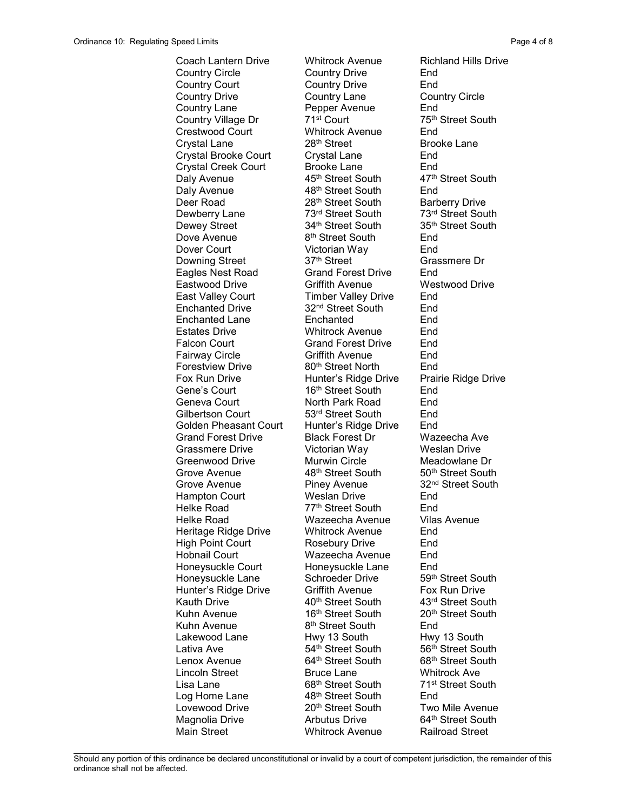Coach Lantern Drive Whitrock Avenue Richland Hills Drive Country Circle Country Drive End Country Court Country Drive End Country Drive Country Lane Country Circle Country Lane Pepper Avenue End Country Village Dr 71<sup>st</sup> Court 75<sup>th</sup> Street South Crestwood Court Whitrock Avenue End Crystal Lane 28<sup>th</sup> Street Brooke Lane Crystal Brooke Court Crystal Lane End Crystal Creek Court Brooke Lane End Daly Avenue **45th Street South** 47<sup>th</sup> Street South Daly Avenue 48<sup>th</sup> Street South End Deer Road 28<sup>th</sup> Street South Barberry Drive Dewberry Lane 73<sup>rd</sup> Street South 73<sup>rd</sup> Street South Dewey Street South 35<sup>th</sup> Street South Dewey Street 34th Street South Dove Avenue 8<sup>th</sup> Street South End Dover Court Victorian Way End Downing Street Eagles Nest Road Grand Forest Drive End Eastwood Drive Griffith Avenue Westwood Drive East Valley Court Timber Valley Drive End Enchanted Drive 32nd Street South End Enchanted Lane Enchanted End Estates Drive Whitrock Avenue End Falcon Court **Grand Forest Drive** End Fairway Circle **Griffith Avenue** End Forestview Drive 80<sup>th</sup> Street North End Fox Run Drive **Hunter's Ridge Drive** Prairie Ridge Drive Gene's Court 16<sup>th</sup> Street South End Geneva Court **North Park Road** End Gilbertson Court 53rd Street South End Golden Pheasant Court Hunter's Ridge Drive End<br>Grand Forest Drive Black Forest Dr Wazeecha Ave Grand Forest Drive Black Forest Dr Grassmere Drive **Victorian Way** Weslan Drive Greenwood Drive Murwin Circle Meadowlane Dr Grove Avenue **48th Street South** 50<sup>th</sup> Street South Grove Avenue **Piney Avenue** 32<sup>nd</sup> Street South Hampton Court Weslan Drive End Helke Road 77<sup>th</sup> Street South End Helke Road Wazeecha Avenue Vilas Avenue Heritage Ridge Drive Whitrock Avenue End High Point Court **Rosebury Drive** End Hobnail Court Wazeecha Avenue End Honeysuckle Court Honeysuckle Lane End Honeysuckle Lane Schroeder Drive 59th Street South Hunter's Ridge Drive Griffith Avenue Fox Run Drive Kauth Drive **40th Street South** 43<sup>rd</sup> Street South Kuhn Avenue 16<sup>th</sup> Street South 20<sup>th</sup> Street South<br>
Kuhn Avenue 8<sup>th</sup> Street South End Lakewood Lane **Hwy 13 South** Hwy 13 South Lativa Ave 54<sup>th</sup> Street South 56<sup>th</sup> Street South Lenox Avenue 64<sup>th</sup> Street South 68<sup>th</sup> Street South Lincoln Street Bruce Lane Whitrock Ave Lisa Lane 68<sup>th</sup> Street South 71<sup>st</sup> Street South Log Home Lane 48<sup>th</sup> Street South End Lovewood Drive 20<sup>th</sup> Street South Two Mile Avenue Magnolia Drive **Arbutus Drive** 64<sup>th</sup> Street South Main Street Whitrock Avenue Railroad Street

8<sup>th</sup> Street South End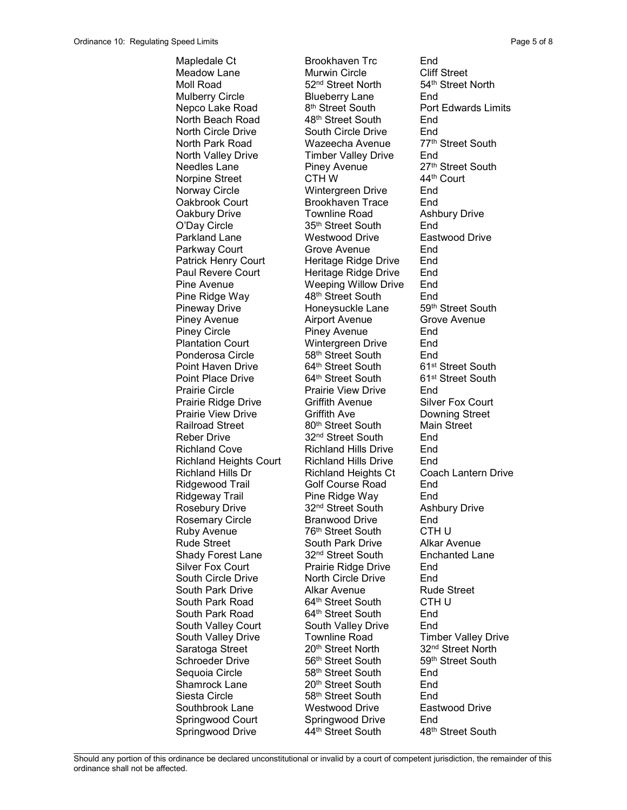Mapledale Ct Brookhaven Trc End Meadow Lane **Murwin Circle** Cliff Street Moll Road 52<sup>nd</sup> Street North 54<sup>th</sup> Street North Mulberry Circle Blueberry Lane End Nepco Lake Road 8<sup>th</sup> Street South Port Edwards Limits North Beach Road 48<sup>th</sup> Street South End North Circle Drive South Circle Drive End North Park Road Wazeecha Avenue 77th Street South North Valley Drive Timber Valley Drive End Needles Lane **Piney Avenue** 27<sup>th</sup> Street South Norpine Street CTH W 44th Court Norway Circle Wintergreen Drive End Oakbrook Court Brookhaven Trace End Oakbury Drive **Townline Road** Ashbury Drive O'Day Circle 35<sup>th</sup> Street South End Parkland Lane Westwood Drive Eastwood Drive Parkway Court **Grove Avenue** End Patrick Henry Court Heritage Ridge Drive End Paul Revere Court Heritage Ridge Drive End Pine Avenue **Weeping Willow Drive** End Pine Ridge Way 48<sup>th</sup> Street South End Pineway Drive **Honeysuckle Lane** 59<sup>th</sup> Street South Piney Avenue **Airport Avenue** Grove Avenue Piney Circle **Piney Avenue** End Plantation Court Wintergreen Drive End Ponderosa Circle 58<sup>th</sup> Street South End Point Haven Drive 64<sup>th</sup> Street South 61<sup>st</sup> Street South Point Place Drive 64<sup>th</sup> Street South 61<sup>st</sup> Street South Prairie Circle **Prairie View Drive** End Prairie Ridge Drive **Griffith Avenue** Silver Fox Court Prairie View Drive **Griffith Ave Community** Downing Street Railroad Street **80<sup>th</sup>** Street South Main Street Reber Drive 32<sup>nd</sup> Street South End Richland Cove Richland Hills Drive End Richland Heights Court Richland Hills Drive End Richland Hills Dr **Richland Heights Ct** Coach Lantern Drive Ridgewood Trail Golf Course Road End Ridgeway Trail Pine Ridge Way End Rosebury Drive 32<sup>nd</sup> Street South Ashbury Drive Rosemary Circle Branwood Drive End Ruby Avenue 76<sup>th</sup> Street South CTH U Rude Street South Park Drive Alkar Avenue Shady Forest Lane 32<sup>nd</sup> Street South Enchanted Lane Silver Fox Court Prairie Ridge Drive End South Circle Drive **North Circle Drive** End South Park Drive **Alkar Avenue** Rude Street South Park Road 64<sup>th</sup> Street South CTH U South Park Road 64<sup>th</sup> Street South End South Valley Court South Valley Drive End South Valley Drive Townline Road Timber Valley Drive Saratoga Street 20<sup>th</sup> Street North 32<sup>nd</sup> Street North Schroeder Drive 56<sup>th</sup> Street South 59<sup>th</sup> Street South Sequoia Circle 58<sup>th</sup> Street South End Shamrock Lane 20<sup>th</sup> Street South End Siesta Circle 58<sup>th</sup> Street South 58<sup>th</sup> Street South Southbrook Lane Westwood Drive Eastwood Drive Springwood Court Springwood Drive End Springwood Drive **44<sup>th</sup> Street South** 48<sup>th</sup> Street South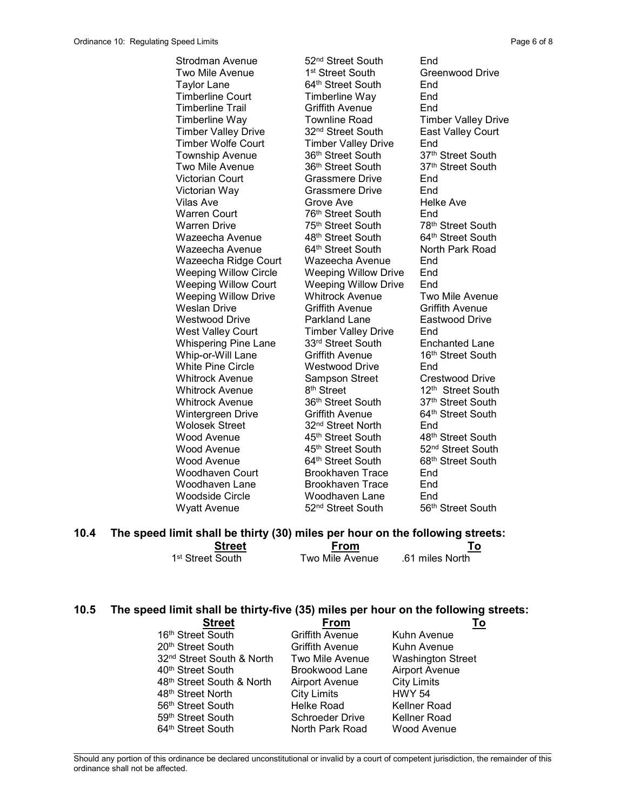Strodman Avenue 52<sup>nd</sup> Street South End Wazeecha Avenue Wazeecha Avenue Wyatt Avenue 52<sup>nd</sup> Street South 56<sup>th</sup> Street South

Two Mile Avenue 1<sup>st</sup> Street South Greenwood Drive Taylor Lane 64<sup>th</sup> Street South End Timberline Court Timberline Way End Timberline Trail Griffith Avenue End Timberline Way Townline Road Timber Valley Drive<br>Timber Valley Drive 32<sup>nd</sup> Street South East Valley Court Timber Valley Drive 32<sup>nd</sup> Street South East Valley Court Timber Wolfe Court Timber Valley Drive End Township Avenue 36<sup>th</sup> Street South 37<sup>th</sup> Street South Two Mile Avenue 36<sup>th</sup> Street South 37<sup>th</sup> Street South Victorian Court Grassmere Drive End Victorian Way Grassmere Drive End Vilas Ave **Grove Ave Helke Ave** Warren Court **76<sup>th</sup> Street South** End<br>
Warren Drive 75<sup>th</sup> Street South 78<sup>th</sup> 48th Street South 64<sup>th</sup> Street South Wazeecha Ridge Court Wazeecha Avenue End Weeping Willow Circle Weeping Willow Drive End Weeping Willow Court Weeping Willow Drive End Weeping Willow Drive Whitrock Avenue Two Mile Avenue Weslan Drive Griffith Avenue Griffith Avenue Westwood Drive **Parkland Lane** Eastwood Drive West Valley Court Timber Valley Drive End Whispering Pine Lane 33rd Street South Enchanted Lane Whip-or-Will Lane Griffith Avenue 16<sup>th</sup> Street South White Pine Circle **Westwood Drive** End Whitrock Avenue Sampson Street Crestwood Drive<br>Whitrock Avenue 8<sup>th</sup> Street 12<sup>th</sup> Street South Whitrock Avenue 8<sup>th</sup> Street 12<sup>th</sup> Street South Whitrock Avenue 36<sup>th</sup> Street South 37<sup>th</sup> Street South Wintergreen Drive **Griffith Avenue** 64<sup>th</sup> Street South Wolosek Street 32<sup>nd</sup> Street North End Wood Avenue **45<sup>th</sup> Street South** 48<sup>th</sup> Street South Wood Avenue **45<sup>th</sup> Street South** 52<sup>nd</sup> Street South Wood Avenue 64<sup>th</sup> Street South 68<sup>th</sup> Street South Woodhaven Court Brookhaven Trace End Woodhaven Lane Brookhaven Trace End Woodside Circle Woodhaven Lane End

78<sup>th</sup> Street South 64<sup>th</sup> Street South North Park Road

### 10.4 The speed limit shall be thirty (30) miles per hour on the following streets: **Street From From To**

| əucel                        | гічн            |                 |
|------------------------------|-----------------|-----------------|
| 1 <sup>st</sup> Street South | Two Mile Avenue | .61 miles North |

#### 10.5 The speed limit shall be thirty-five (35) miles per hour on the following streets:

| <b>Street</b>                         | From                   |                          |
|---------------------------------------|------------------------|--------------------------|
| 16th Street South                     | <b>Griffith Avenue</b> | Kuhn Avenue              |
| 20th Street South                     | <b>Griffith Avenue</b> | Kuhn Avenue              |
| 32 <sup>nd</sup> Street South & North | Two Mile Avenue        | <b>Washington Street</b> |
| 40th Street South                     | Brookwood Lane         | <b>Airport Avenue</b>    |
| 48th Street South & North             | <b>Airport Avenue</b>  | <b>City Limits</b>       |
| 48 <sup>th</sup> Street North         | <b>City Limits</b>     | <b>HWY 54</b>            |
| 56 <sup>th</sup> Street South         | Helke Road             | <b>Kellner Road</b>      |
| 59th Street South                     | <b>Schroeder Drive</b> | <b>Kellner Road</b>      |
| 64th Street South                     | North Park Road        | Wood Avenue              |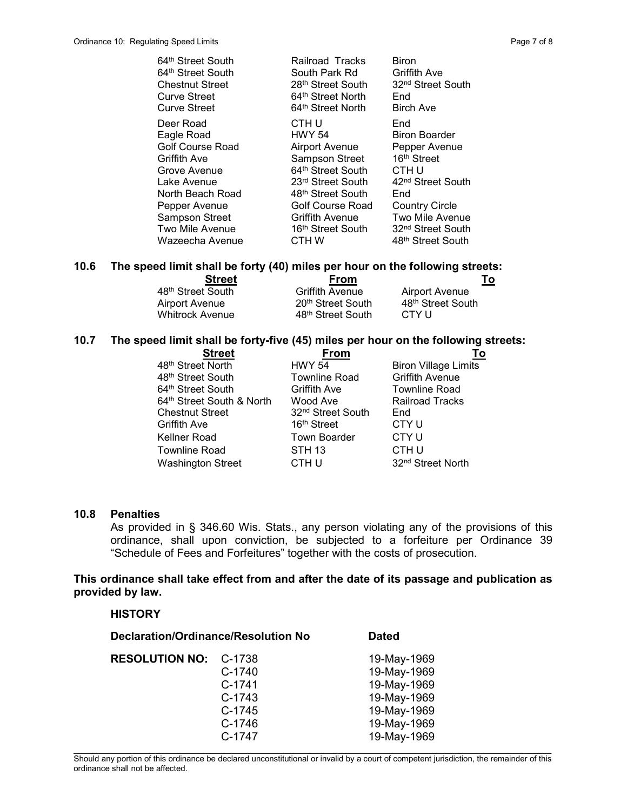| 64 <sup>th</sup> Street South | <b>Railroad Tracks</b>        | Biron                         |
|-------------------------------|-------------------------------|-------------------------------|
| 64th Street South             | South Park Rd                 | Griffith Ave                  |
| <b>Chestnut Street</b>        | 28 <sup>th</sup> Street South | 32 <sup>nd</sup> Street South |
| <b>Curve Street</b>           | 64th Street North             | End                           |
| <b>Curve Street</b>           | 64 <sup>th</sup> Street North | <b>Birch Ave</b>              |
| Deer Road                     | CTH U                         | End                           |
| Eagle Road                    | <b>HWY 54</b>                 | <b>Biron Boarder</b>          |
| <b>Golf Course Road</b>       | <b>Airport Avenue</b>         | Pepper Avenue                 |
| <b>Griffith Ave</b>           | Sampson Street                | 16 <sup>th</sup> Street       |
| Grove Avenue                  | 64th Street South             | CTH U                         |
| Lake Avenue                   | 23rd Street South             | 42 <sup>nd</sup> Street South |
| North Beach Road              | 48th Street South             | End                           |
| Pepper Avenue                 | <b>Golf Course Road</b>       | <b>Country Circle</b>         |
| <b>Sampson Street</b>         | <b>Griffith Avenue</b>        | Two Mile Avenue               |
| Two Mile Avenue               | 16th Street South             | 32 <sup>nd</sup> Street South |
| Wazeecha Avenue               | CTH W                         |                               |

# 10.6 The speed limit shall be forty (40) miles per hour on the following streets:

| <b>Street</b>                 | From                          | To                            |
|-------------------------------|-------------------------------|-------------------------------|
| 48 <sup>th</sup> Street South | <b>Griffith Avenue</b>        | <b>Airport Avenue</b>         |
| Airport Avenue                | 20 <sup>th</sup> Street South | 48 <sup>th</sup> Street South |
| Whitrock Avenue               | 48 <sup>th</sup> Street South | CTY U                         |

#### 10.7 The speed limit shall be forty-five (45) miles per hour on the following streets:

| <b>Street</b>             | From                          | To                            |
|---------------------------|-------------------------------|-------------------------------|
| 48th Street North         | <b>HWY 54</b>                 | <b>Biron Village Limits</b>   |
| 48th Street South         | <b>Townline Road</b>          | <b>Griffith Avenue</b>        |
| 64th Street South         | <b>Griffith Ave</b>           | <b>Townline Road</b>          |
| 64th Street South & North | Wood Ave                      | <b>Railroad Tracks</b>        |
| <b>Chestnut Street</b>    | 32 <sup>nd</sup> Street South | End                           |
| <b>Griffith Ave</b>       | 16 <sup>th</sup> Street       | CTY U                         |
| Kellner Road              | <b>Town Boarder</b>           | CTY <sub>U</sub>              |
| <b>Townline Road</b>      | <b>STH 13</b>                 | CTH U                         |
| <b>Washington Street</b>  | CTH U                         | 32 <sup>nd</sup> Street North |

### 10.8 Penalties

**HISTORY** 

As provided in § 346.60 Wis. Stats., any person violating any of the provisions of this ordinance, shall upon conviction, be subjected to a forfeiture per Ordinance 39 "Schedule of Fees and Forfeitures" together with the costs of prosecution.

### This ordinance shall take effect from and after the date of its passage and publication as provided by law.

| Declaration/Ordinance/Resolution No |          | <b>Dated</b> |
|-------------------------------------|----------|--------------|
| <b>RESOLUTION NO:</b>               | C-1738   | 19-May-1969  |
|                                     | C-1740   | 19-May-1969  |
|                                     | C-1741   | 19-May-1969  |
|                                     | C-1743   | 19-May-1969  |
|                                     | $C-1745$ | 19-May-1969  |
|                                     | C-1746   | 19-May-1969  |
|                                     | C-1747   | 19-May-1969  |

 $\mathcal{L}_\text{max}$ Should any portion of this ordinance be declared unconstitutional or invalid by a court of competent jurisdiction, the remainder of this ordinance shall not be affected.